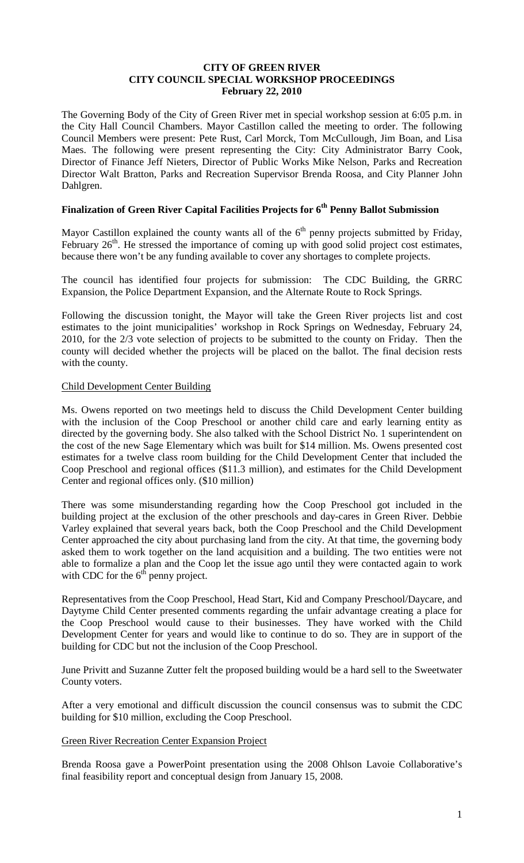#### **CITY OF GREEN RIVER CITY COUNCIL SPECIAL WORKSHOP PROCEEDINGS February 22, 2010**

The Governing Body of the City of Green River met in special workshop session at 6:05 p.m. in the City Hall Council Chambers. Mayor Castillon called the meeting to order. The following Council Members were present: Pete Rust, Carl Morck, Tom McCullough, Jim Boan, and Lisa Maes. The following were present representing the City: City Administrator Barry Cook, Director of Finance Jeff Nieters, Director of Public Works Mike Nelson, Parks and Recreation Director Walt Bratton, Parks and Recreation Supervisor Brenda Roosa, and City Planner John Dahlgren.

# **Finalization of Green River Capital Facilities Projects for 6th Penny Ballot Submission**

Mayor Castillon explained the county wants all of the  $6<sup>th</sup>$  penny projects submitted by Friday, February  $26<sup>th</sup>$ . He stressed the importance of coming up with good solid project cost estimates, because there won't be any funding available to cover any shortages to complete projects.

The council has identified four projects for submission: The CDC Building, the GRRC Expansion, the Police Department Expansion, and the Alternate Route to Rock Springs.

Following the discussion tonight, the Mayor will take the Green River projects list and cost estimates to the joint municipalities' workshop in Rock Springs on Wednesday, February 24, 2010, for the 2/3 vote selection of projects to be submitted to the county on Friday. Then the county will decided whether the projects will be placed on the ballot. The final decision rests with the county.

#### Child Development Center Building

Ms. Owens reported on two meetings held to discuss the Child Development Center building with the inclusion of the Coop Preschool or another child care and early learning entity as directed by the governing body. She also talked with the School District No. 1 superintendent on the cost of the new Sage Elementary which was built for \$14 million. Ms. Owens presented cost estimates for a twelve class room building for the Child Development Center that included the Coop Preschool and regional offices (\$11.3 million), and estimates for the Child Development Center and regional offices only. (\$10 million)

There was some misunderstanding regarding how the Coop Preschool got included in the building project at the exclusion of the other preschools and day-cares in Green River. Debbie Varley explained that several years back, both the Coop Preschool and the Child Development Center approached the city about purchasing land from the city. At that time, the governing body asked them to work together on the land acquisition and a building. The two entities were not able to formalize a plan and the Coop let the issue ago until they were contacted again to work with CDC for the  $6<sup>th</sup>$  penny project.

Representatives from the Coop Preschool, Head Start, Kid and Company Preschool/Daycare, and Daytyme Child Center presented comments regarding the unfair advantage creating a place for the Coop Preschool would cause to their businesses. They have worked with the Child Development Center for years and would like to continue to do so. They are in support of the building for CDC but not the inclusion of the Coop Preschool.

June Privitt and Suzanne Zutter felt the proposed building would be a hard sell to the Sweetwater County voters.

After a very emotional and difficult discussion the council consensus was to submit the CDC building for \$10 million, excluding the Coop Preschool.

#### Green River Recreation Center Expansion Project

Brenda Roosa gave a PowerPoint presentation using the 2008 Ohlson Lavoie Collaborative's final feasibility report and conceptual design from January 15, 2008.